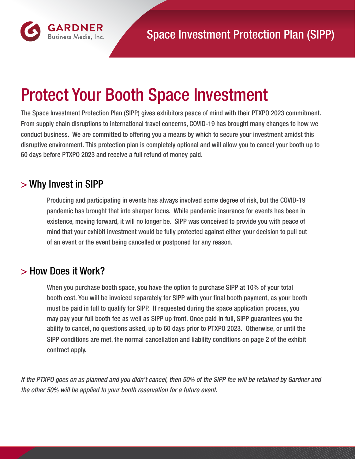

# Protect Your Booth Space Investment

The Space Investment Protection Plan (SIPP) gives exhibitors peace of mind with their PTXPO 2023 commitment. From supply chain disruptions to international travel concerns, COVID-19 has brought many changes to how we conduct business. We are committed to offering you a means by which to secure your investment amidst this disruptive environment. This protection plan is completely optional and will allow you to cancel your booth up to 60 days before PTXPO 2023 and receive a full refund of money paid.

### > Why Invest in SIPP

Producing and participating in events has always involved some degree of risk, but the COVID-19 pandemic has brought that into sharper focus. While pandemic insurance for events has been in existence, moving forward, it will no longer be. SIPP was conceived to provide you with peace of mind that your exhibit investment would be fully protected against either your decision to pull out of an event or the event being cancelled or postponed for any reason.

## > How Does it Work?

When you purchase booth space, you have the option to purchase SIPP at 10% of your total booth cost. You will be invoiced separately for SIPP with your final booth payment, as your booth must be paid in full to qualify for SIPP. If requested during the space application process, you may pay your full booth fee as well as SIPP up front. Once paid in full, SIPP guarantees you the ability to cancel, no questions asked, up to 60 days prior to PTXPO 2023. Otherwise, or until the SIPP conditions are met, the normal cancellation and liability conditions on page 2 of the exhibit contract apply.

*If the PTXPO goes on as planned and you didn't cancel, then 50% of the SIPP fee w*ill *be retained by Gardner and the other 50% w*ill *be applied to your booth reservation for a future event.*